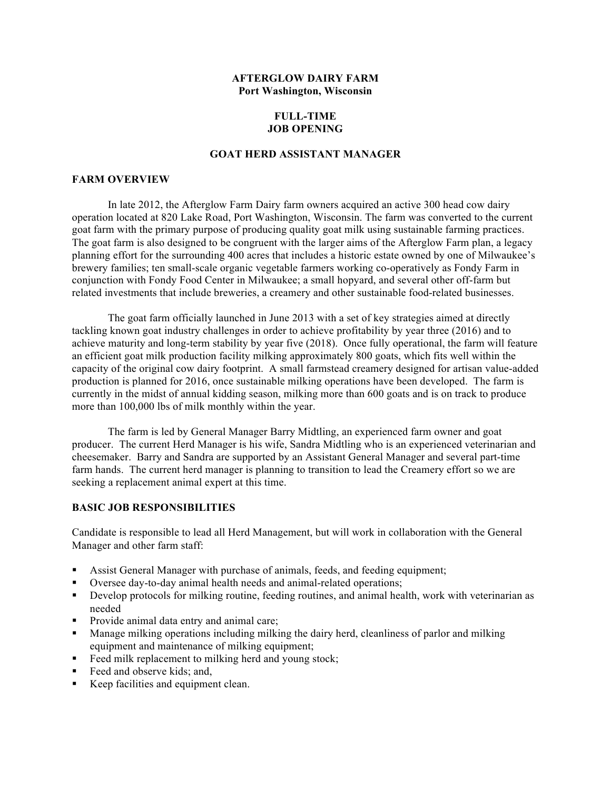### **AFTERGLOW DAIRY FARM Port Washington, Wisconsin**

# **FULL-TIME JOB OPENING**

# **GOAT HERD ASSISTANT MANAGER**

#### **FARM OVERVIEW**

In late 2012, the Afterglow Farm Dairy farm owners acquired an active 300 head cow dairy operation located at 820 Lake Road, Port Washington, Wisconsin. The farm was converted to the current goat farm with the primary purpose of producing quality goat milk using sustainable farming practices. The goat farm is also designed to be congruent with the larger aims of the Afterglow Farm plan, a legacy planning effort for the surrounding 400 acres that includes a historic estate owned by one of Milwaukee's brewery families; ten small-scale organic vegetable farmers working co-operatively as Fondy Farm in conjunction with Fondy Food Center in Milwaukee; a small hopyard, and several other off-farm but related investments that include breweries, a creamery and other sustainable food-related businesses.

The goat farm officially launched in June 2013 with a set of key strategies aimed at directly tackling known goat industry challenges in order to achieve profitability by year three (2016) and to achieve maturity and long-term stability by year five (2018). Once fully operational, the farm will feature an efficient goat milk production facility milking approximately 800 goats, which fits well within the capacity of the original cow dairy footprint. A small farmstead creamery designed for artisan value-added production is planned for 2016, once sustainable milking operations have been developed. The farm is currently in the midst of annual kidding season, milking more than 600 goats and is on track to produce more than 100,000 lbs of milk monthly within the year.

The farm is led by General Manager Barry Midtling, an experienced farm owner and goat producer. The current Herd Manager is his wife, Sandra Midtling who is an experienced veterinarian and cheesemaker. Barry and Sandra are supported by an Assistant General Manager and several part-time farm hands. The current herd manager is planning to transition to lead the Creamery effort so we are seeking a replacement animal expert at this time.

# **BASIC JOB RESPONSIBILITIES**

Candidate is responsible to lead all Herd Management, but will work in collaboration with the General Manager and other farm staff:

- Assist General Manager with purchase of animals, feeds, and feeding equipment;
- Oversee day-to-day animal health needs and animal-related operations;
- Develop protocols for milking routine, feeding routines, and animal health, work with veterinarian as needed
- **Provide animal data entry and animal care;**
- Manage milking operations including milking the dairy herd, cleanliness of parlor and milking equipment and maintenance of milking equipment;
- Feed milk replacement to milking herd and young stock;
- Feed and observe kids; and,
- Keep facilities and equipment clean.